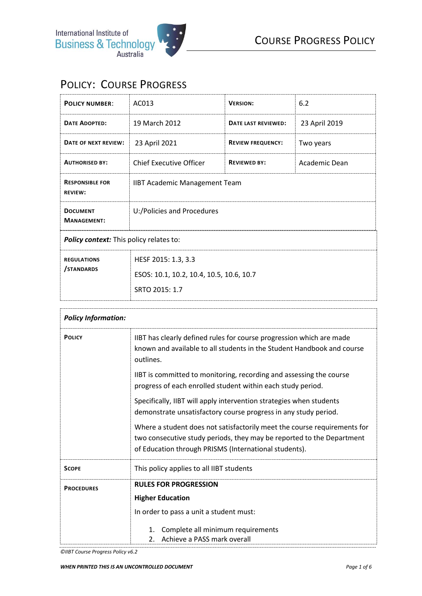## POLICY: COURSE PROGRESS

| <b>POLICY NUMBER:</b>                    | AC013                                                                                                                                                                           | <b>VERSION:</b>          | 6.2           |
|------------------------------------------|---------------------------------------------------------------------------------------------------------------------------------------------------------------------------------|--------------------------|---------------|
| <b>DATE ADOPTED:</b>                     | 19 March 2012                                                                                                                                                                   | DATE LAST REVIEWED:      | 23 April 2019 |
| DATE OF NEXT REVIEW:                     | 23 April 2021                                                                                                                                                                   | <b>REVIEW FREQUENCY:</b> | Two years     |
| <b>AUTHORISED BY:</b>                    | <b>Chief Executive Officer</b>                                                                                                                                                  | <b>REVIEWED BY:</b>      | Academic Dean |
| <b>RESPONSIBLE FOR</b><br><b>REVIEW:</b> | <b>IIBT Academic Management Team</b>                                                                                                                                            |                          |               |
| <b>DOCUMENT</b><br><b>MANAGEMENT:</b>    | U:/Policies and Procedures                                                                                                                                                      |                          |               |
| Policy context: This policy relates to:  |                                                                                                                                                                                 |                          |               |
| <b>REGULATIONS</b>                       | HESF 2015: 1.3, 3.3                                                                                                                                                             |                          |               |
| STANDARDS                                | ESOS: 10.1, 10.2, 10.4, 10.5, 10.6, 10.7                                                                                                                                        |                          |               |
|                                          | SRTO 2015: 1.7                                                                                                                                                                  |                          |               |
|                                          |                                                                                                                                                                                 |                          |               |
| <b>Policy Information:</b>               |                                                                                                                                                                                 |                          |               |
| <b>POLICY</b>                            | IIBT has clearly defined rules for course progression which are made<br>والمستمر والمتماط المستور والتستمر المتحافظ والمستور والمستقم المستقل والمسافح ومستور والمستور والمستور |                          |               |

| <b>POLICY</b>     | IIBT has clearly defined rules for course progression which are made<br>known and available to all students in the Student Handbook and course<br>outlines.                                                |
|-------------------|------------------------------------------------------------------------------------------------------------------------------------------------------------------------------------------------------------|
|                   | IIBT is committed to monitoring, recording and assessing the course<br>progress of each enrolled student within each study period.                                                                         |
|                   | Specifically, IIBT will apply intervention strategies when students<br>demonstrate unsatisfactory course progress in any study period.                                                                     |
|                   | Where a student does not satisfactorily meet the course requirements for<br>two consecutive study periods, they may be reported to the Department<br>of Education through PRISMS (International students). |
| <b>SCOPE</b>      | This policy applies to all IIBT students                                                                                                                                                                   |
| <b>PROCEDURES</b> | <b>RULES FOR PROGRESSION</b>                                                                                                                                                                               |
|                   | <b>Higher Education</b>                                                                                                                                                                                    |
|                   | In order to pass a unit a student must:                                                                                                                                                                    |
|                   | Complete all minimum requirements<br>1.<br>Achieve a PASS mark overall<br>2.                                                                                                                               |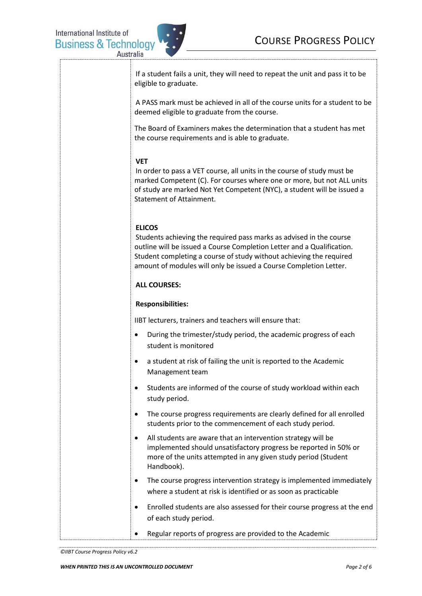

| If a student fails a unit, they will need to repeat the unit and pass it to be<br>eligible to graduate.                                                                                                                                                                                                    |
|------------------------------------------------------------------------------------------------------------------------------------------------------------------------------------------------------------------------------------------------------------------------------------------------------------|
| A PASS mark must be achieved in all of the course units for a student to be<br>deemed eligible to graduate from the course.                                                                                                                                                                                |
| The Board of Examiners makes the determination that a student has met<br>the course requirements and is able to graduate.                                                                                                                                                                                  |
| <b>VET</b><br>In order to pass a VET course, all units in the course of study must be<br>marked Competent (C). For courses where one or more, but not ALL units<br>of study are marked Not Yet Competent (NYC), a student will be issued a<br><b>Statement of Attainment.</b>                              |
| <b>ELICOS</b><br>Students achieving the required pass marks as advised in the course<br>outline will be issued a Course Completion Letter and a Qualification.<br>Student completing a course of study without achieving the required<br>amount of modules will only be issued a Course Completion Letter. |
| <b>ALL COURSES:</b>                                                                                                                                                                                                                                                                                        |
| <b>Responsibilities:</b>                                                                                                                                                                                                                                                                                   |
| IIBT lecturers, trainers and teachers will ensure that:                                                                                                                                                                                                                                                    |
| During the trimester/study period, the academic progress of each<br>$\bullet$<br>student is monitored                                                                                                                                                                                                      |
| a student at risk of failing the unit is reported to the Academic<br>٠<br>Management team                                                                                                                                                                                                                  |
| Students are informed of the course of study workload within each<br>study period.                                                                                                                                                                                                                         |
| The course progress requirements are clearly defined for all enrolled<br>٠<br>students prior to the commencement of each study period.                                                                                                                                                                     |
| All students are aware that an intervention strategy will be<br>$\bullet$<br>implemented should unsatisfactory progress be reported in 50% or<br>more of the units attempted in any given study period (Student<br>Handbook).                                                                              |
| The course progress intervention strategy is implemented immediately<br>٠<br>where a student at risk is identified or as soon as practicable                                                                                                                                                               |
| Enrolled students are also assessed for their course progress at the end<br>of each study period.                                                                                                                                                                                                          |
| Regular reports of progress are provided to the Academic                                                                                                                                                                                                                                                   |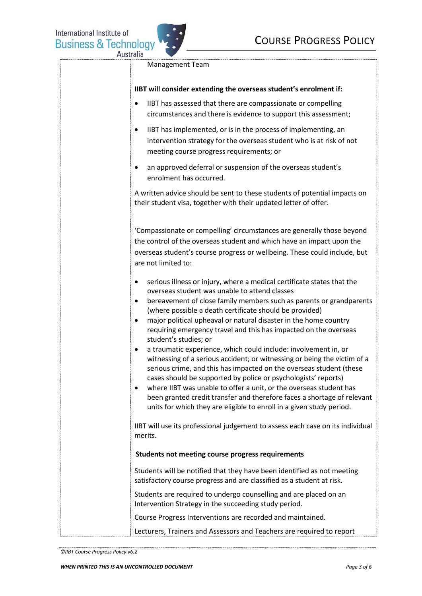

Management Team

|  |  | IIBT will consider extending the overseas student's enrolment if: |
|--|--|-------------------------------------------------------------------|
|--|--|-------------------------------------------------------------------|

- IIBT has assessed that there are compassionate or compelling circumstances and there is evidence to support this assessment;
- IIBT has implemented, or is in the process of implementing, an intervention strategy for the overseas student who is at risk of not meeting course progress requirements; or
- an approved deferral or suspension of the overseas student's enrolment has occurred.

A written advice should be sent to these students of potential impacts on their student visa, together with their updated letter of offer.

'Compassionate or compelling' circumstances are generally those beyond the control of the overseas student and which have an impact upon the overseas student's course progress or wellbeing. These could include, but are not limited to:

- serious illness or injury, where a medical certificate states that the overseas student was unable to attend classes
- bereavement of close family members such as parents or grandparents (where possible a death certificate should be provided)
- major political upheaval or natural disaster in the home country requiring emergency travel and this has impacted on the overseas student's studies; or
- a traumatic experience, which could include: involvement in, or witnessing of a serious accident; or witnessing or being the victim of a serious crime, and this has impacted on the overseas student (these cases should be supported by police or psychologists' reports)
- where IIBT was unable to offer a unit, or the overseas student has been granted credit transfer and therefore faces a shortage of relevant units for which they are eligible to enroll in a given study period.

IIBT will use its professional judgement to assess each case on its individual merits.

## **Students not meeting course progress requirements**

Students will be notified that they have been identified as not meeting satisfactory course progress and are classified as a student at risk.

Students are required to undergo counselling and are placed on an Intervention Strategy in the succeeding study period.

Course Progress Interventions are recorded and maintained.

Lecturers, Trainers and Assessors and Teachers are required to report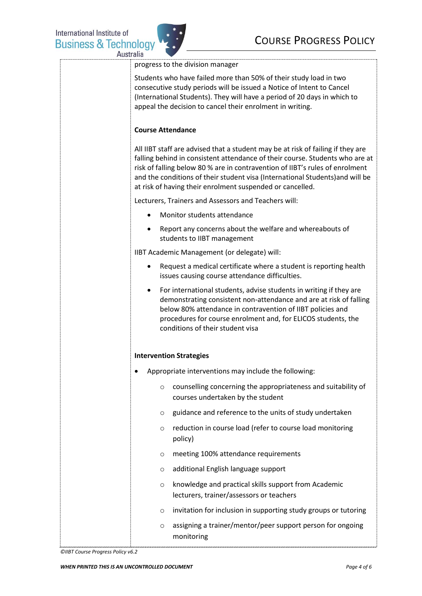

| usiness & Technology | CUURSE FRUURESS FULICI                                                                                                                                                                                                                                                                                                                                                                        |
|----------------------|-----------------------------------------------------------------------------------------------------------------------------------------------------------------------------------------------------------------------------------------------------------------------------------------------------------------------------------------------------------------------------------------------|
| Australia            | progress to the division manager                                                                                                                                                                                                                                                                                                                                                              |
|                      | Students who have failed more than 50% of their study load in two<br>consecutive study periods will be issued a Notice of Intent to Cancel<br>(International Students). They will have a period of 20 days in which to<br>appeal the decision to cancel their enrolment in writing.                                                                                                           |
|                      | <b>Course Attendance</b>                                                                                                                                                                                                                                                                                                                                                                      |
|                      | All IIBT staff are advised that a student may be at risk of failing if they are<br>falling behind in consistent attendance of their course. Students who are at<br>risk of falling below 80 % are in contravention of IIBT's rules of enrolment<br>and the conditions of their student visa (International Students) and will be<br>at risk of having their enrolment suspended or cancelled. |
|                      | Lecturers, Trainers and Assessors and Teachers will:                                                                                                                                                                                                                                                                                                                                          |
|                      | Monitor students attendance                                                                                                                                                                                                                                                                                                                                                                   |
|                      | Report any concerns about the welfare and whereabouts of<br>students to IIBT management                                                                                                                                                                                                                                                                                                       |
|                      | IIBT Academic Management (or delegate) will:                                                                                                                                                                                                                                                                                                                                                  |
|                      | Request a medical certificate where a student is reporting health<br>issues causing course attendance difficulties.                                                                                                                                                                                                                                                                           |
|                      | For international students, advise students in writing if they are<br>$\bullet$<br>demonstrating consistent non-attendance and are at risk of falling<br>below 80% attendance in contravention of IIBT policies and<br>procedures for course enrolment and, for ELICOS students, the<br>conditions of their student visa                                                                      |
|                      | <b>Intervention Strategies</b>                                                                                                                                                                                                                                                                                                                                                                |
|                      | Appropriate interventions may include the following:                                                                                                                                                                                                                                                                                                                                          |
|                      | counselling concerning the appropriateness and suitability of<br>$\circ$<br>courses undertaken by the student                                                                                                                                                                                                                                                                                 |
|                      | guidance and reference to the units of study undertaken<br>O                                                                                                                                                                                                                                                                                                                                  |
|                      | reduction in course load (refer to course load monitoring<br>O<br>policy)                                                                                                                                                                                                                                                                                                                     |
|                      | meeting 100% attendance requirements<br>O                                                                                                                                                                                                                                                                                                                                                     |
|                      | additional English language support<br>O                                                                                                                                                                                                                                                                                                                                                      |
|                      | knowledge and practical skills support from Academic<br>$\circ$<br>lecturers, trainer/assessors or teachers                                                                                                                                                                                                                                                                                   |
|                      | invitation for inclusion in supporting study groups or tutoring<br>O                                                                                                                                                                                                                                                                                                                          |
|                      | assigning a trainer/mentor/peer support person for ongoing<br>O<br>monitoring                                                                                                                                                                                                                                                                                                                 |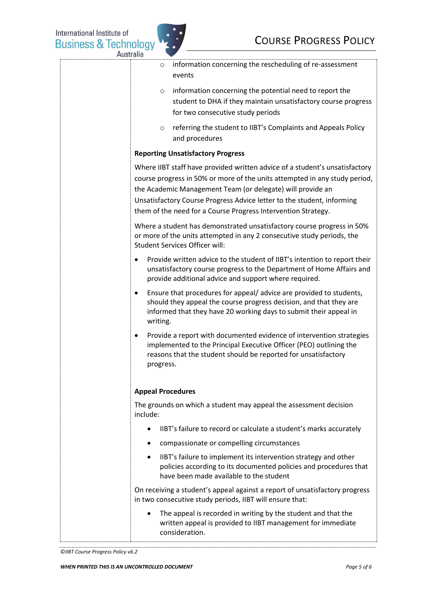

| information concerning the rescheduling of re-assessment<br>$\circ$<br>events                                                                                                                                                                                                                                                                                      |
|--------------------------------------------------------------------------------------------------------------------------------------------------------------------------------------------------------------------------------------------------------------------------------------------------------------------------------------------------------------------|
| information concerning the potential need to report the<br>$\circ$<br>student to DHA if they maintain unsatisfactory course progress<br>for two consecutive study periods                                                                                                                                                                                          |
| referring the student to IIBT's Complaints and Appeals Policy<br>$\circ$<br>and procedures                                                                                                                                                                                                                                                                         |
| <b>Reporting Unsatisfactory Progress</b>                                                                                                                                                                                                                                                                                                                           |
| Where IIBT staff have provided written advice of a student's unsatisfactory<br>course progress in 50% or more of the units attempted in any study period,<br>the Academic Management Team (or delegate) will provide an<br>Unsatisfactory Course Progress Advice letter to the student, informing<br>them of the need for a Course Progress Intervention Strategy. |
| Where a student has demonstrated unsatisfactory course progress in 50%<br>or more of the units attempted in any 2 consecutive study periods, the<br><b>Student Services Officer will:</b>                                                                                                                                                                          |
| Provide written advice to the student of IIBT's intention to report their<br>٠<br>unsatisfactory course progress to the Department of Home Affairs and<br>provide additional advice and support where required.                                                                                                                                                    |
| Ensure that procedures for appeal/advice are provided to students,<br>٠<br>should they appeal the course progress decision, and that they are<br>informed that they have 20 working days to submit their appeal in<br>writing.                                                                                                                                     |
| Provide a report with documented evidence of intervention strategies<br>٠<br>implemented to the Principal Executive Officer (PEO) outlining the<br>reasons that the student should be reported for unsatisfactory<br>progress.                                                                                                                                     |
| <b>Appeal Procedures</b>                                                                                                                                                                                                                                                                                                                                           |
| The grounds on which a student may appeal the assessment decision<br>include:                                                                                                                                                                                                                                                                                      |
| IIBT's failure to record or calculate a student's marks accurately<br>$\bullet$                                                                                                                                                                                                                                                                                    |
| compassionate or compelling circumstances<br>$\bullet$                                                                                                                                                                                                                                                                                                             |
| IIBT's failure to implement its intervention strategy and other<br>$\bullet$<br>policies according to its documented policies and procedures that<br>have been made available to the student                                                                                                                                                                       |
| On receiving a student's appeal against a report of unsatisfactory progress<br>in two consecutive study periods, IIBT will ensure that:                                                                                                                                                                                                                            |
| The appeal is recorded in writing by the student and that the<br>$\bullet$<br>written appeal is provided to IIBT management for immediate<br>consideration.                                                                                                                                                                                                        |